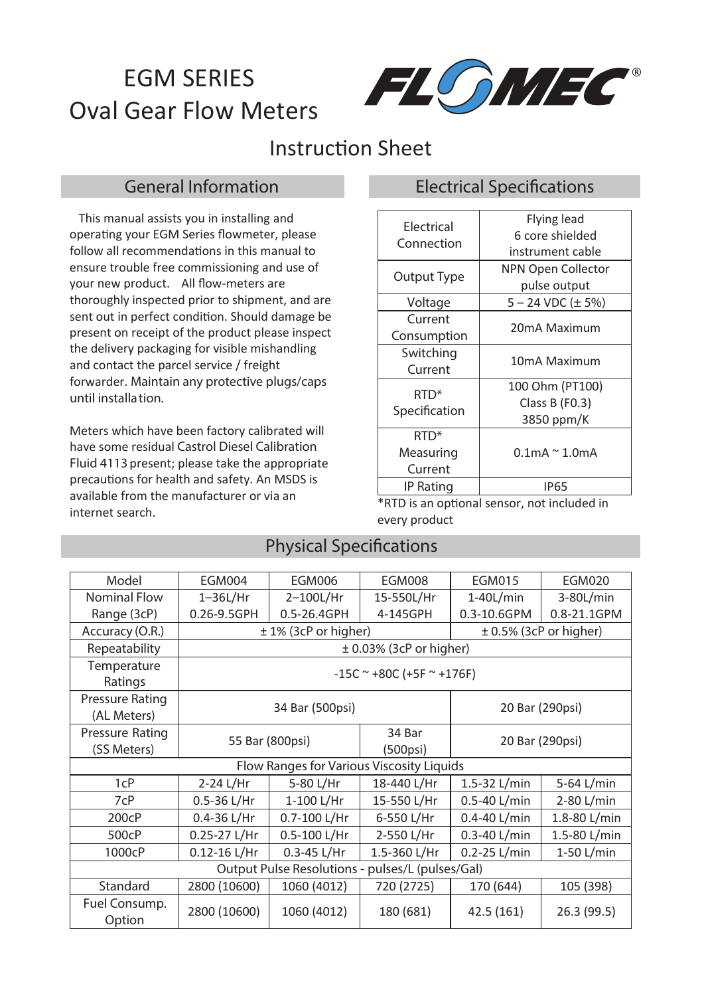# EGM SERIES Oval Gear Flow Meters



## Instruction Sheet

 This manual assists you in installing and operating your EGM Series flowmeter, please follow all recommendations in this manual to ensure trouble free commissioning and use of your new product. All flow-meters are thoroughly inspected prior to shipment, and are sent out in perfect condition. Should damage be present on receipt of the product please inspect the delivery packaging for visible mishandling and contact the parcel service / freight forwarder. *Maintain any protective plugs/caps until installation.*

Meters which have been factory calibrated will have some residual *Castrol Diesel Calibration Fluid 4113* present; please take the appropriate precautions for health and safety. An MSDS is available from the manufacturer or via an internet search.

#### *General Information Electrical Specications*

| Electrical       | <b>Flying lead</b>       |  |  |
|------------------|--------------------------|--|--|
| Connection       | 6 core shielded          |  |  |
|                  | instrument cable         |  |  |
| Output Type      | NPN Open Collector       |  |  |
|                  | pulse output             |  |  |
| Voltage          | $5 - 24$ VDC ( $\pm$ 5%) |  |  |
| Current          | 20mA Maximum             |  |  |
| Consumption      |                          |  |  |
| Switching        |                          |  |  |
| Current          | 10mA Maximum             |  |  |
| RTD <sup>*</sup> | 100 Ohm (PT100)          |  |  |
|                  | Class B (F0.3)           |  |  |
| Specification    | 3850 ppm/K               |  |  |
| RTD*             |                          |  |  |
| Measuring        | $0.1$ mA ~ $1.0$ mA      |  |  |
| Current          |                          |  |  |
| IP Rating        | <b>IP65</b>              |  |  |

\*RTD is an optional sensor, not included in every product

#### **Physical Specifications**

| Model                                            | <b>EGM004</b>               | <b>EGM006</b>               | <b>EGM008</b>               | <b>EGM015</b>              | <b>EGM020</b> |  |  |
|--------------------------------------------------|-----------------------------|-----------------------------|-----------------------------|----------------------------|---------------|--|--|
| <b>Nominal Flow</b>                              | $1 - 36L/Hr$                | 2-100L/Hr                   | 15-550L/Hr                  | $1-40$ L/min               | 3-80L/min     |  |  |
| Range (3cP)                                      | 0.26-9.5GPH                 | 0.5-26.4GPH                 | 4-145GPH                    | 0.3-10.6GPM                | 0.8-21.1GPM   |  |  |
| Accuracy (O.R.)                                  | $± 1\%$ (3cP or higher)     |                             |                             | $\pm$ 0.5% (3cP or higher) |               |  |  |
| Repeatability                                    |                             | $\pm$ 0.03% (3cP or higher) |                             |                            |               |  |  |
| Temperature<br>Ratings                           | $-15C$ ~ +80C (+5F ~ +176F) |                             |                             |                            |               |  |  |
| Pressure Rating<br>(AL Meters)                   | 34 Bar (500psi)             |                             |                             | 20 Bar (290psi)            |               |  |  |
| Pressure Rating<br>(SS Meters)                   | 55 Bar (800psi)             |                             | 34 Bar<br>$(500\text{psi})$ | 20 Bar (290psi)            |               |  |  |
| Flow Ranges for Various Viscosity Liquids        |                             |                             |                             |                            |               |  |  |
| 1cP                                              | 2-24 L/Hr                   | 5-80 L/Hr                   | 18-440 L/Hr                 | 1.5-32 L/min               | 5-64 L/min    |  |  |
| 7cP                                              | $0.5 - 36$ L/Hr             | 1-100 L/Hr                  | 15-550 L/Hr                 | 0.5-40 L/min               | 2-80 L/min    |  |  |
| 200cP                                            | $0.4 - 36$ L/Hr             | 0.7-100 L/Hr                | 6-550 L/Hr                  | $0.4 - 40$ L/min           | 1.8-80 L/min  |  |  |
| 500cP                                            | 0.25-27 L/Hr                | 0.5-100 L/Hr                | 2-550 L/Hr                  | $0.3 - 40$ L/min           | 1.5-80 L/min  |  |  |
| 1000cP                                           | $0.12 - 16$ L/Hr            | $0.3 - 45 L/Hr$             | 1.5-360 L/Hr                | $0.2 - 25$ L/min           | 1-50 L/min    |  |  |
| Output Pulse Resolutions - pulses/L (pulses/Gal) |                             |                             |                             |                            |               |  |  |
| Standard                                         | 2800 (10600)                | 1060 (4012)                 | 720 (2725)                  | 170 (644)                  | 105 (398)     |  |  |
| Fuel Consump.<br>Option                          | 2800 (10600)                | 1060 (4012)                 | 180 (681)                   | 42.5 (161)                 | 26.3 (99.5)   |  |  |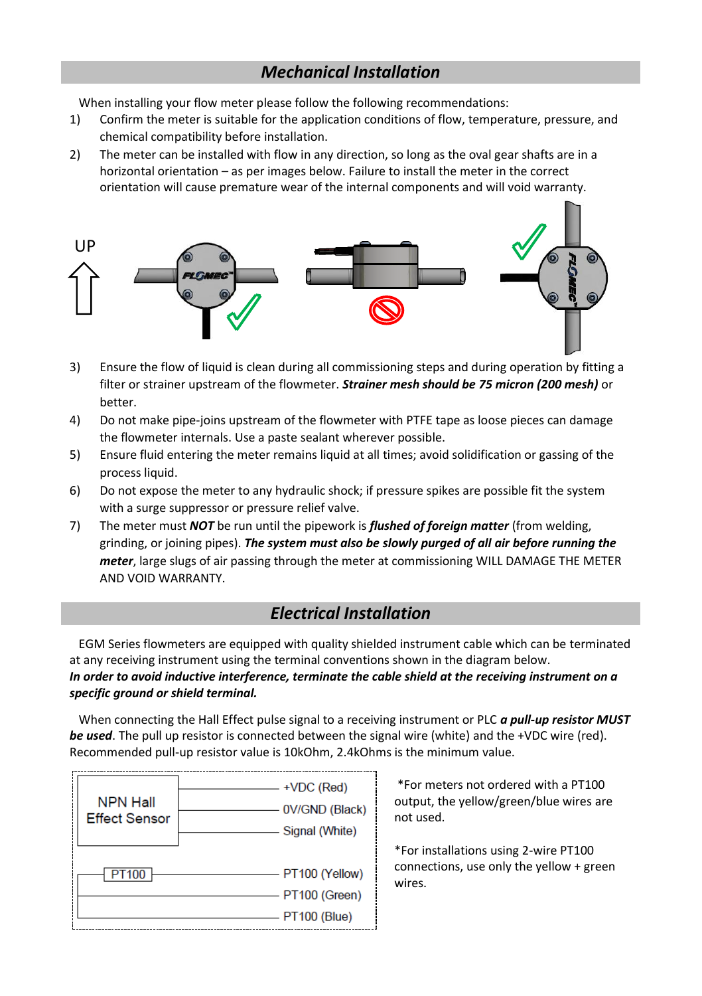#### *Mechanical Installation*

When installing your flow meter please follow the following recommendations:

- 1) Confirm the meter is suitable for the application conditions of flow, temperature, pressure, and chemical compatibility before installation.
- 2) The meter can be installed with flow in any direction, so long as the oval gear shafts are in a horizontal orientation – as per images below. Failure to install the meter in the correct orientation will cause premature wear of the internal components and will void warranty.



- 3) Ensure the flow of liquid is clean during all commissioning steps and during operation by fitting a filter or strainer upstream of the flowmeter. *Strainer mesh should be 75 micron (200 mesh)* or better.
- 4) Do not make pipe-joins upstream of the flowmeter with PTFE tape as loose pieces can damage the flowmeter internals. Use a paste sealant wherever possible.
- 5) Ensure fluid entering the meter remains liquid at all times; avoid solidification or gassing of the process liquid.
- 6) Do not expose the meter to any hydraulic shock; if pressure spikes are possible fit the system with a surge suppressor or pressure relief valve.
- 7) The meter must *NOT* be run until the pipework is *flushed of foreign matter* (from welding, grinding, or joining pipes). *The system must also be slowly purged of all air before running the meter*, large slugs of air passing through the meter at commissioning WILL DAMAGE THE METER AND VOID WARRANTY.

#### *Electrical Installation*

 EGM Series flowmeters are equipped with quality shielded instrument cable which can be terminated at any receiving instrument using the terminal conventions shown in the diagram below. *In order to avoid inductive interference, terminate the cable shield at the receiving instrument on a specific ground or shield terminal.* 

 When connecting the Hall Effect pulse signal to a receiving instrument or PLC *a pull-up resistor MUST be used*. The pull up resistor is connected between the signal wire (white) and the +VDC wire (red). Recommended pull-up resistor value is 10kOhm, 2.4kOhms is the minimum value.



\*For meters not ordered with a PT100 output, the yellow/green/blue wires are not used.

\*For installations using 2-wire PT100 connections, use only the yellow + green wires.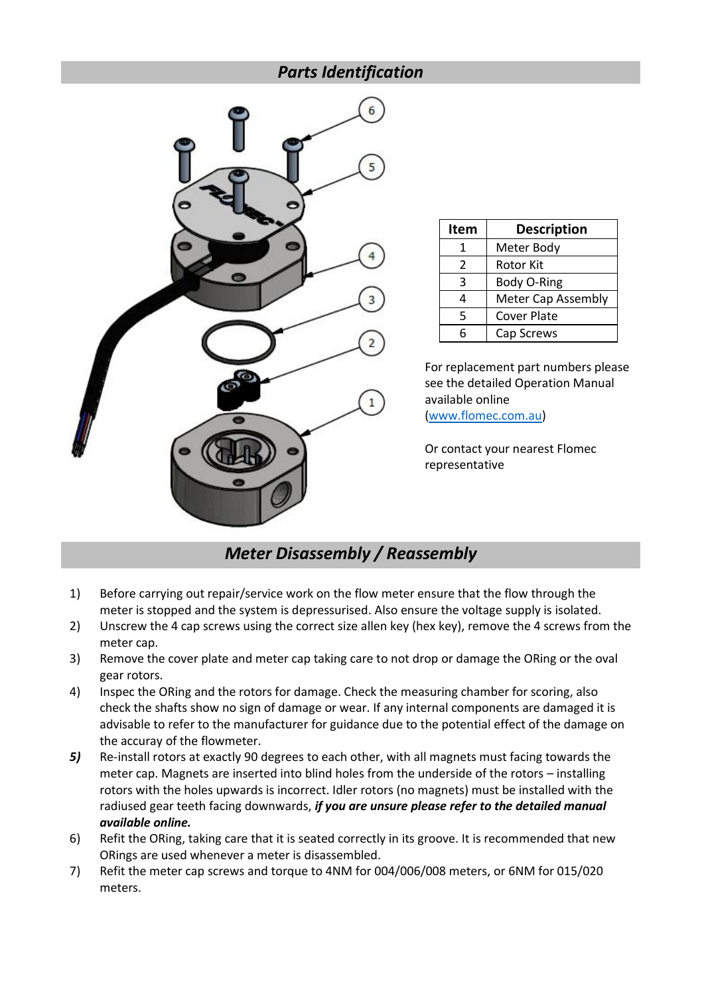#### *Parts Identification*



| Item | <b>Description</b> |
|------|--------------------|
|      | Meter Body         |
| 2    | <b>Rotor Kit</b>   |
| κ    | Body O-Ring        |
|      | Meter Cap Assembly |
| 5    | <b>Cover Plate</b> |
|      | Cap Screws         |

For replacement part numbers please see the detailed Operation Manual available online [\(www.flomec.com.au\)](http://www.flomec.com.au/)

Or contact your nearest Flomec representative

### *Meter Disassembly / Reassembly*

- 1) Before carrying out repair/service work on the flow meter ensure that the flow through the meter is stopped and the system is depressurised. Also ensure the voltage supply is isolated.
- 2) Unscrew the 4 cap screws using the correct size allen key (hex key), remove the 4 screws from the meter cap.
- 3) Remove the cover plate and meter cap taking care to not drop or damage the ORing or the oval gear rotors.
- 4) Inspec the ORing and the rotors for damage. Check the measuring chamber for scoring, also check the shafts show no sign of damage or wear. If any internal components are damaged it is advisable to refer to the manufacturer for guidance due to the potential effect of the damage on the accuray of the flowmeter.
- *5)* Re-install rotors at exactly 90 degrees to each other, with all magnets must facing towards the meter cap. Magnets are inserted into blind holes from the underside of the rotors – installing rotors with the holes upwards is incorrect. Idler rotors (no magnets) must be installed with the radiused gear teeth facing downwards, *if you are unsure please refer to the detailed manual available online.*
- 6) Refit the ORing, taking care that it is seated correctly in its groove. It is recommended that new ORings are used whenever a meter is disassembled.
- 7) Refit the meter cap screws and torque to 4NM for 004/006/008 meters, or 6NM for 015/020 meters.